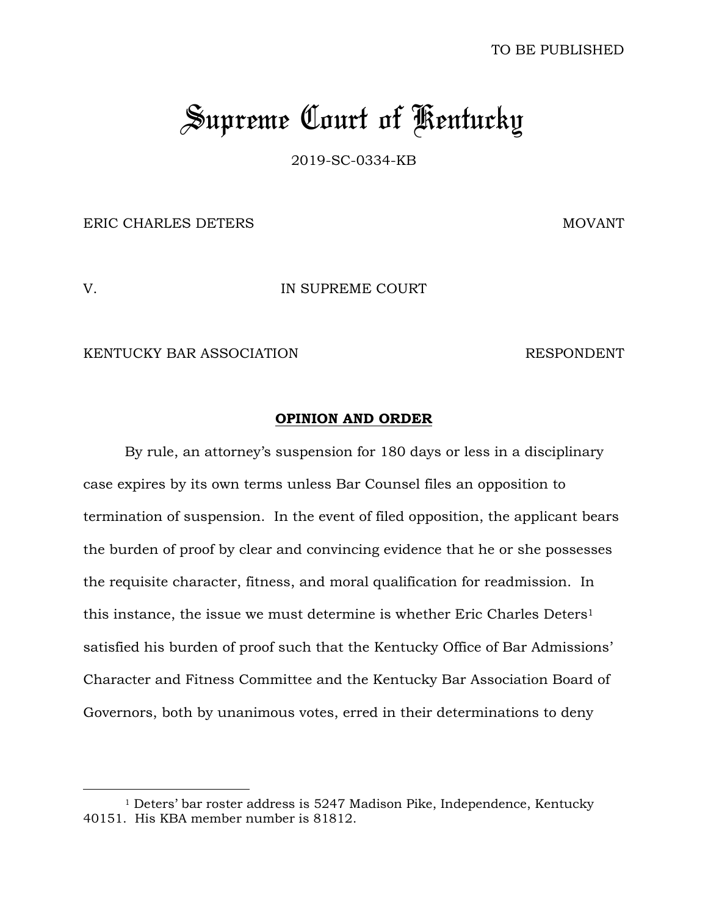# *Supreme Court of Kentucky*

2019-SC-0334-KB

ERIC CHARLES DETERS MOVANT

 $\overline{a}$ 

V. IN SUPREME COURT

KENTUCKY BAR ASSOCIATION RESPONDENT

#### **OPINION AND ORDER**

By rule, an attorney's suspension for 180 days or less in a disciplinary case expires by its own terms unless Bar Counsel files an opposition to termination of suspension. In the event of filed opposition, the applicant bears the burden of proof by clear and convincing evidence that he or she possesses the requisite character, fitness, and moral qualification for readmission. In this instance, the issue we must determine is whether Eric Charles Deters<sup>1</sup> satisfied his burden of proof such that the Kentucky Office of Bar Admissions' Character and Fitness Committee and the Kentucky Bar Association Board of Governors, both by unanimous votes, erred in their determinations to deny

<sup>1</sup> Deters' bar roster address is 5247 Madison Pike, Independence, Kentucky 40151. His KBA member number is 81812.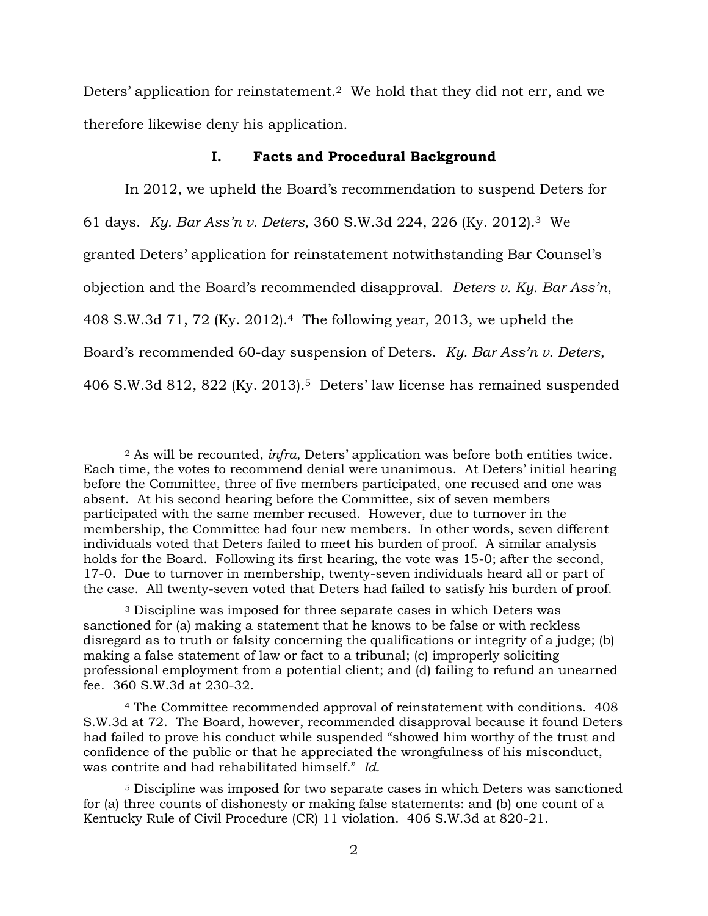Deters' application for reinstatement.<sup>2</sup> We hold that they did not err, and we therefore likewise deny his application.

#### **I. Facts and Procedural Background**

In 2012, we upheld the Board's recommendation to suspend Deters for 61 days. *Ky. Bar Ass'n v. Deters*, 360 S.W.3d 224, 226 (Ky. 2012).<sup>3</sup> We granted Deters' application for reinstatement notwithstanding Bar Counsel's objection and the Board's recommended disapproval. *Deters v. Ky. Bar Ass'n*, 408 S.W.3d 71, 72 (Ky. 2012).4 The following year, 2013, we upheld the Board's recommended 60-day suspension of Deters. *Ky. Bar Ass'n v. Deters*, 406 S.W.3d 812, 822 (Ky. 2013).<sup>5</sup> Deters' law license has remained suspended

<sup>2</sup> As will be recounted, *infra*, Deters' application was before both entities twice. Each time, the votes to recommend denial were unanimous. At Deters' initial hearing before the Committee, three of five members participated, one recused and one was absent. At his second hearing before the Committee, six of seven members participated with the same member recused. However, due to turnover in the membership, the Committee had four new members. In other words, seven different individuals voted that Deters failed to meet his burden of proof. A similar analysis holds for the Board. Following its first hearing, the vote was 15-0; after the second, 17-0. Due to turnover in membership, twenty-seven individuals heard all or part of the case. All twenty-seven voted that Deters had failed to satisfy his burden of proof.

<sup>3</sup> Discipline was imposed for three separate cases in which Deters was sanctioned for (a) making a statement that he knows to be false or with reckless disregard as to truth or falsity concerning the qualifications or integrity of a judge; (b) making a false statement of law or fact to a tribunal; (c) improperly soliciting professional employment from a potential client; and (d) failing to refund an unearned fee. 360 S.W.3d at 230-32.

<sup>4</sup> The Committee recommended approval of reinstatement with conditions. 408 S.W.3d at 72. The Board, however, recommended disapproval because it found Deters had failed to prove his conduct while suspended "showed him worthy of the trust and confidence of the public or that he appreciated the wrongfulness of his misconduct, was contrite and had rehabilitated himself." *Id.*

<sup>5</sup> Discipline was imposed for two separate cases in which Deters was sanctioned for (a) three counts of dishonesty or making false statements: and (b) one count of a Kentucky Rule of Civil Procedure (CR) 11 violation. 406 S.W.3d at 820-21.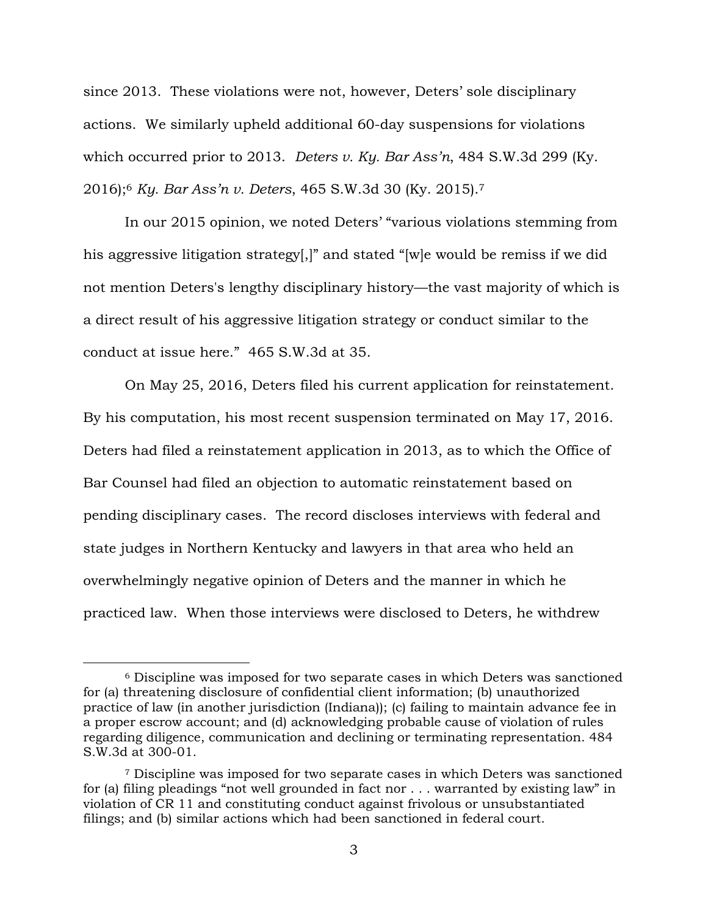since 2013. These violations were not, however, Deters' sole disciplinary actions. We similarly upheld additional 60-day suspensions for violations which occurred prior to 2013. *Deters v. Ky. Bar Ass'n*, 484 S.W.3d 299 (Ky. 2016);<sup>6</sup> *Ky. Bar Ass'n v. Deters*, 465 S.W.3d 30 (Ky. 2015).<sup>7</sup>

In our 2015 opinion, we noted Deters' "various violations stemming from his aggressive litigation strategy[,]" and stated "[w]e would be remiss if we did not mention Deters's lengthy disciplinary history—the vast majority of which is a direct result of his aggressive litigation strategy or conduct similar to the conduct at issue here." 465 S.W.3d at 35.

On May 25, 2016, Deters filed his current application for reinstatement. By his computation, his most recent suspension terminated on May 17, 2016. Deters had filed a reinstatement application in 2013, as to which the Office of Bar Counsel had filed an objection to automatic reinstatement based on pending disciplinary cases. The record discloses interviews with federal and state judges in Northern Kentucky and lawyers in that area who held an overwhelmingly negative opinion of Deters and the manner in which he practiced law. When those interviews were disclosed to Deters, he withdrew

<sup>6</sup> Discipline was imposed for two separate cases in which Deters was sanctioned for (a) threatening disclosure of confidential client information; (b) unauthorized practice of law (in another jurisdiction (Indiana)); (c) failing to maintain advance fee in a proper escrow account; and (d) acknowledging probable cause of violation of rules regarding diligence, communication and declining or terminating representation. 484 S.W.3d at 300-01.

<sup>7</sup> Discipline was imposed for two separate cases in which Deters was sanctioned for (a) filing pleadings "not well grounded in fact nor . . . warranted by existing law" in violation of CR 11 and constituting conduct against frivolous or unsubstantiated filings; and (b) similar actions which had been sanctioned in federal court.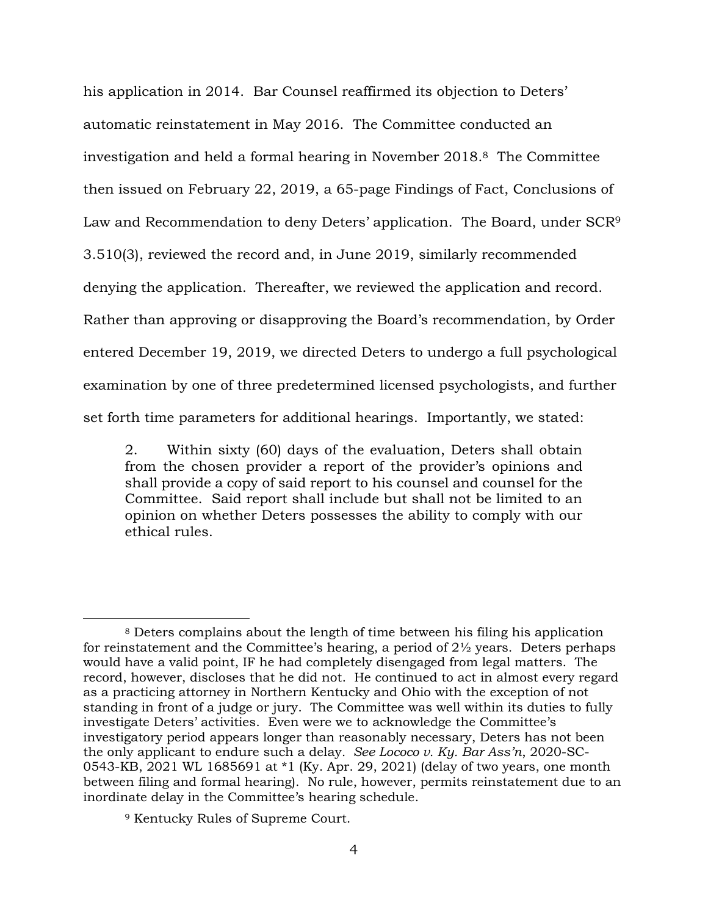his application in 2014. Bar Counsel reaffirmed its objection to Deters' automatic reinstatement in May 2016. The Committee conducted an investigation and held a formal hearing in November 2018.8 The Committee then issued on February 22, 2019, a 65-page Findings of Fact, Conclusions of Law and Recommendation to deny Deters' application. The Board, under SCR<sup>9</sup> 3.510(3), reviewed the record and, in June 2019, similarly recommended denying the application. Thereafter, we reviewed the application and record. Rather than approving or disapproving the Board's recommendation, by Order entered December 19, 2019, we directed Deters to undergo a full psychological examination by one of three predetermined licensed psychologists, and further set forth time parameters for additional hearings. Importantly, we stated:

2. Within sixty (60) days of the evaluation, Deters shall obtain from the chosen provider a report of the provider's opinions and shall provide a copy of said report to his counsel and counsel for the Committee. Said report shall include but shall not be limited to an opinion on whether Deters possesses the ability to comply with our ethical rules.

<sup>8</sup> Deters complains about the length of time between his filing his application for reinstatement and the Committee's hearing, a period of  $2\frac{1}{2}$  years. Deters perhaps would have a valid point, IF he had completely disengaged from legal matters. The record, however, discloses that he did not. He continued to act in almost every regard as a practicing attorney in Northern Kentucky and Ohio with the exception of not standing in front of a judge or jury. The Committee was well within its duties to fully investigate Deters' activities. Even were we to acknowledge the Committee's investigatory period appears longer than reasonably necessary, Deters has not been the only applicant to endure such a delay*. See Lococo v. Ky. Bar Ass'n*, 2020-SC-0543-KB, 2021 WL 1685691 at \*1 (Ky. Apr. 29, 2021) (delay of two years, one month between filing and formal hearing). No rule, however, permits reinstatement due to an inordinate delay in the Committee's hearing schedule.

<sup>9</sup> Kentucky Rules of Supreme Court.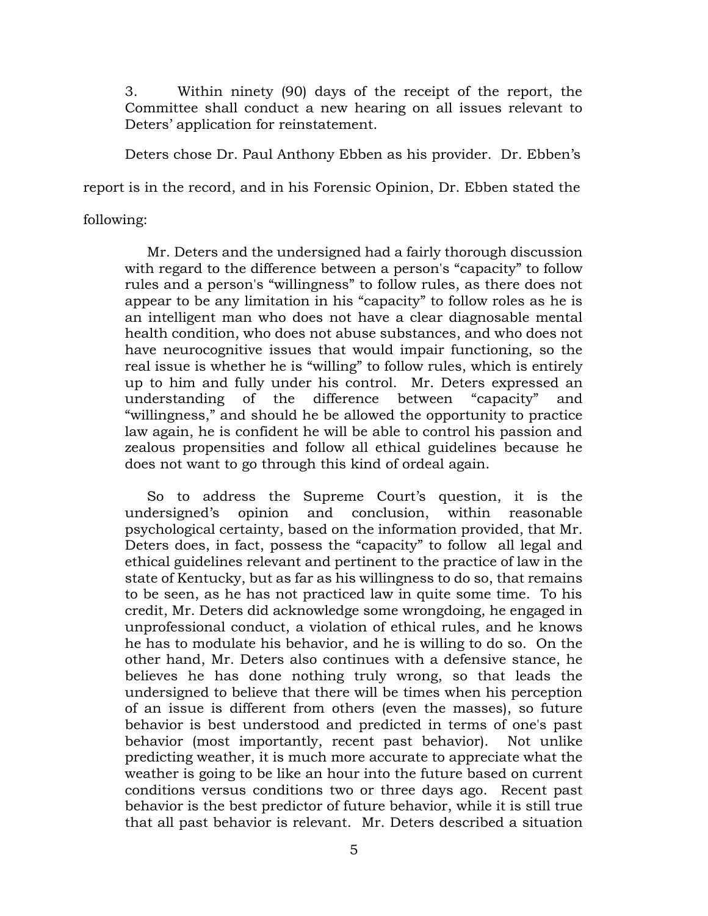3. Within ninety (90) days of the receipt of the report, the Committee shall conduct a new hearing on all issues relevant to Deters' application for reinstatement.

Deters chose Dr. Paul Anthony Ebben as his provider. Dr. Ebben's

report is in the record, and in his Forensic Opinion, Dr. Ebben stated the

following:

 Mr. Deters and the undersigned had a fairly thorough discussion with regard to the difference between a person's "capacity" to follow rules and a person's "willingness" to follow rules, as there does not appear to be any limitation in his "capacity" to follow roles as he is an intelligent man who does not have a clear diagnosable mental health condition, who does not abuse substances, and who does not have neurocognitive issues that would impair functioning, so the real issue is whether he is "willing" to follow rules, which is entirely up to him and fully under his control. Mr. Deters expressed an understanding of the difference between "capacity" and "willingness," and should he be allowed the opportunity to practice law again, he is confident he will be able to control his passion and zealous propensities and follow all ethical guidelines because he does not want to go through this kind of ordeal again.

 So to address the Supreme Court's question, it is the undersigned's opinion and conclusion, within reasonable psychological certainty, based on the information provided, that Mr. Deters does, in fact, possess the "capacity" to follow all legal and ethical guidelines relevant and pertinent to the practice of law in the state of Kentucky, but as far as his willingness to do so, that remains to be seen, as he has not practiced law in quite some time. To his credit, Mr. Deters did acknowledge some wrongdoing, he engaged in unprofessional conduct, a violation of ethical rules, and he knows he has to modulate his behavior, and he is willing to do so. On the other hand, Mr. Deters also continues with a defensive stance, he believes he has done nothing truly wrong, so that leads the undersigned to believe that there will be times when his perception of an issue is different from others (even the masses), so future behavior is best understood and predicted in terms of one's past behavior (most importantly, recent past behavior). Not unlike predicting weather, it is much more accurate to appreciate what the weather is going to be like an hour into the future based on current conditions versus conditions two or three days ago. Recent past behavior is the best predictor of future behavior, while it is still true that all past behavior is relevant. Mr. Deters described a situation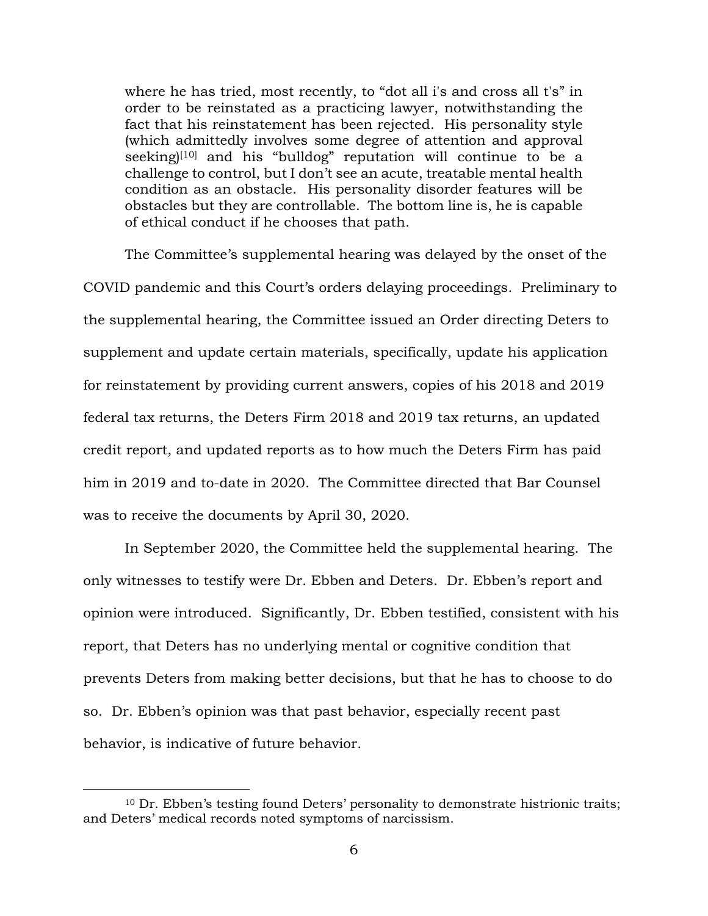where he has tried, most recently, to "dot all i's and cross all t's" in order to be reinstated as a practicing lawyer, notwithstanding the fact that his reinstatement has been rejected. His personality style (which admittedly involves some degree of attention and approval seeking)<sup>[10]</sup> and his "bulldog" reputation will continue to be a challenge to control, but I don't see an acute, treatable mental health condition as an obstacle. His personality disorder features will be obstacles but they are controllable. The bottom line is, he is capable of ethical conduct if he chooses that path.

The Committee's supplemental hearing was delayed by the onset of the COVID pandemic and this Court's orders delaying proceedings. Preliminary to the supplemental hearing, the Committee issued an Order directing Deters to supplement and update certain materials, specifically, update his application for reinstatement by providing current answers, copies of his 2018 and 2019 federal tax returns, the Deters Firm 2018 and 2019 tax returns, an updated credit report, and updated reports as to how much the Deters Firm has paid him in 2019 and to-date in 2020. The Committee directed that Bar Counsel was to receive the documents by April 30, 2020.

In September 2020, the Committee held the supplemental hearing. The only witnesses to testify were Dr. Ebben and Deters. Dr. Ebben's report and opinion were introduced. Significantly, Dr. Ebben testified, consistent with his report, that Deters has no underlying mental or cognitive condition that prevents Deters from making better decisions, but that he has to choose to do so. Dr. Ebben's opinion was that past behavior, especially recent past behavior, is indicative of future behavior.

<sup>10</sup> Dr. Ebben's testing found Deters' personality to demonstrate histrionic traits; and Deters' medical records noted symptoms of narcissism.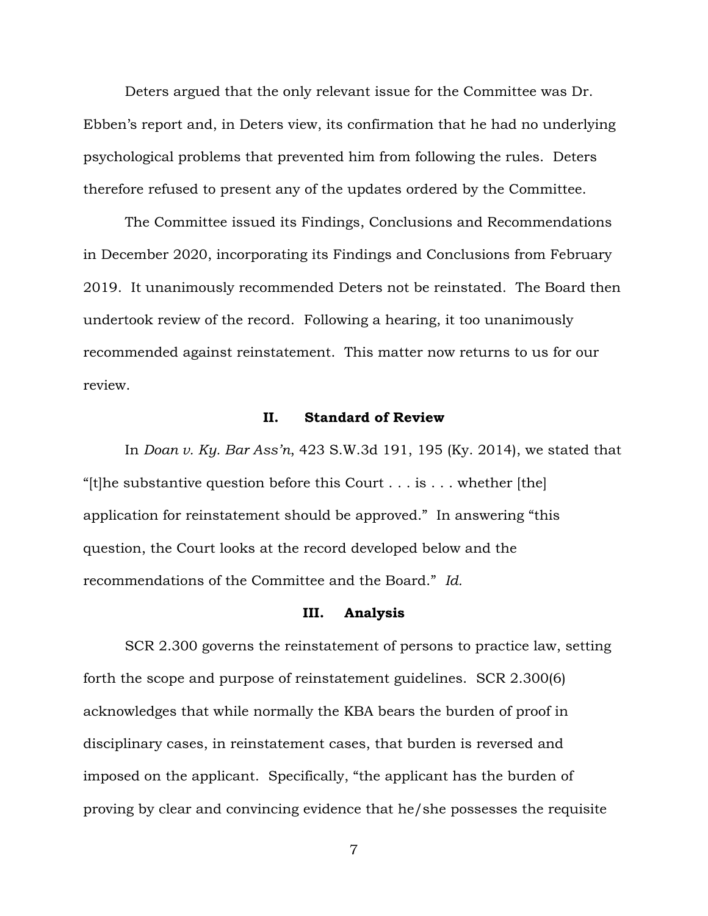Deters argued that the only relevant issue for the Committee was Dr. Ebben's report and, in Deters view, its confirmation that he had no underlying psychological problems that prevented him from following the rules. Deters therefore refused to present any of the updates ordered by the Committee.

The Committee issued its Findings, Conclusions and Recommendations in December 2020, incorporating its Findings and Conclusions from February 2019. It unanimously recommended Deters not be reinstated. The Board then undertook review of the record. Following a hearing, it too unanimously recommended against reinstatement. This matter now returns to us for our review.

## **II. Standard of Review**

In *Doan v. Ky. Bar Ass'n*, 423 S.W.3d 191, 195 (Ky. 2014), we stated that "[t]he substantive question before this Court  $\dots$  is  $\dots$  whether [the] application for reinstatement should be approved." In answering "this question, the Court looks at the record developed below and the recommendations of the Committee and the Board." *Id.*

#### **III. Analysis**

SCR 2.300 governs the reinstatement of persons to practice law, setting forth the scope and purpose of reinstatement guidelines. SCR 2.300(6) acknowledges that while normally the KBA bears the burden of proof in disciplinary cases, in reinstatement cases, that burden is reversed and imposed on the applicant. Specifically, "the applicant has the burden of proving by clear and convincing evidence that he/she possesses the requisite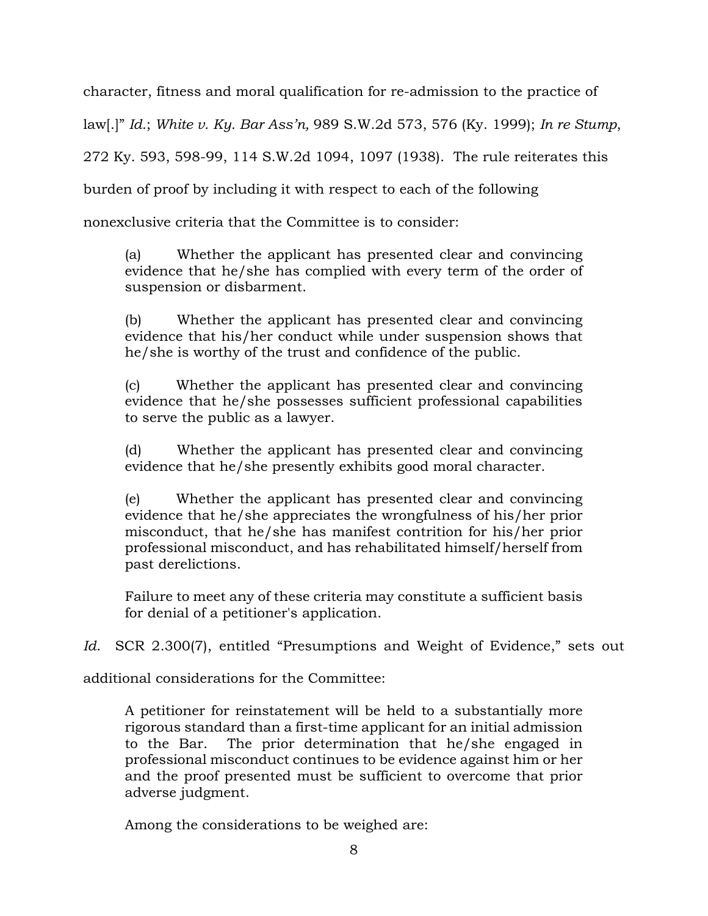character, fitness and moral qualification for re-admission to the practice of law[.]" *Id.*; *White v. Ky. Bar Ass'n,* 989 S.W.2d 573, 576 (Ky. 1999); *In re Stump*, 272 Ky. 593, 598-99, 114 S.W.2d 1094, 1097 (1938). The rule reiterates this burden of proof by including it with respect to each of the following

nonexclusive criteria that the Committee is to consider:

(a) Whether the applicant has presented clear and convincing evidence that he/she has complied with every term of the order of suspension or disbarment.

(b) Whether the applicant has presented clear and convincing evidence that his/her conduct while under suspension shows that he/she is worthy of the trust and confidence of the public.

(c) Whether the applicant has presented clear and convincing evidence that he/she possesses sufficient professional capabilities to serve the public as a lawyer.

(d) Whether the applicant has presented clear and convincing evidence that he/she presently exhibits good moral character.

(e) Whether the applicant has presented clear and convincing evidence that he/she appreciates the wrongfulness of his/her prior misconduct, that he/she has manifest contrition for his/her prior professional misconduct, and has rehabilitated himself/herself from past derelictions.

Failure to meet any of these criteria may constitute a sufficient basis for denial of a petitioner's application.

Id. SCR 2.300(7), entitled "Presumptions and Weight of Evidence," sets out

additional considerations for the Committee:

A petitioner for reinstatement will be held to a substantially more rigorous standard than a first-time applicant for an initial admission to the Bar. The prior determination that he/she engaged in professional misconduct continues to be evidence against him or her and the proof presented must be sufficient to overcome that prior adverse judgment.

Among the considerations to be weighed are: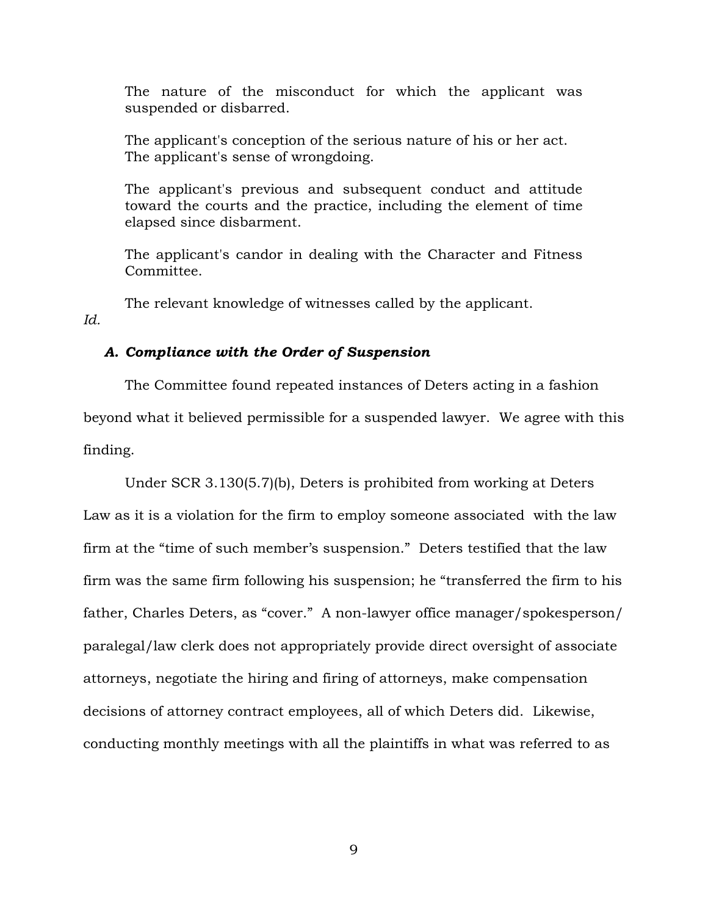The nature of the misconduct for which the applicant was suspended or disbarred.

The applicant's conception of the serious nature of his or her act. The applicant's sense of wrongdoing.

The applicant's previous and subsequent conduct and attitude toward the courts and the practice, including the element of time elapsed since disbarment.

The applicant's candor in dealing with the Character and Fitness Committee.

The relevant knowledge of witnesses called by the applicant. *Id.*

# *A. Compliance with the Order of Suspension*

The Committee found repeated instances of Deters acting in a fashion beyond what it believed permissible for a suspended lawyer. We agree with this finding.

Under SCR 3.130(5.7)(b), Deters is prohibited from working at Deters Law as it is a violation for the firm to employ someone associated with the law firm at the "time of such member's suspension." Deters testified that the law firm was the same firm following his suspension; he "transferred the firm to his father, Charles Deters, as "cover." A non-lawyer office manager/spokesperson/ paralegal/law clerk does not appropriately provide direct oversight of associate attorneys, negotiate the hiring and firing of attorneys, make compensation decisions of attorney contract employees, all of which Deters did. Likewise, conducting monthly meetings with all the plaintiffs in what was referred to as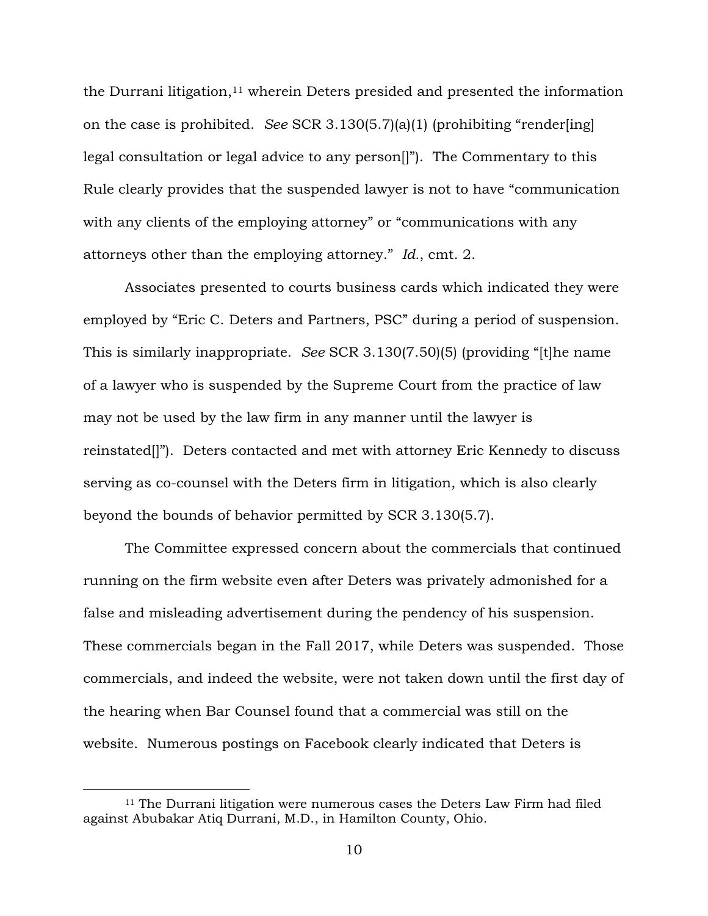the Durrani litigation,<sup>11</sup> wherein Deters presided and presented the information on the case is prohibited. *See* SCR 3.130(5.7)(a)(1) (prohibiting "render[ing] legal consultation or legal advice to any person[]"). The Commentary to this Rule clearly provides that the suspended lawyer is not to have "communication with any clients of the employing attorney" or "communications with any attorneys other than the employing attorney." *Id.*, cmt. 2.

Associates presented to courts business cards which indicated they were employed by "Eric C. Deters and Partners, PSC" during a period of suspension. This is similarly inappropriate. *See* SCR 3.130(7.50)(5) (providing "[t]he name of a lawyer who is suspended by the Supreme Court from the practice of law may not be used by the law firm in any manner until the lawyer is reinstated[]"). Deters contacted and met with attorney Eric Kennedy to discuss serving as co-counsel with the Deters firm in litigation, which is also clearly beyond the bounds of behavior permitted by SCR 3.130(5.7).

The Committee expressed concern about the commercials that continued running on the firm website even after Deters was privately admonished for a false and misleading advertisement during the pendency of his suspension. These commercials began in the Fall 2017, while Deters was suspended. Those commercials, and indeed the website, were not taken down until the first day of the hearing when Bar Counsel found that a commercial was still on the website. Numerous postings on Facebook clearly indicated that Deters is

<sup>11</sup> The Durrani litigation were numerous cases the Deters Law Firm had filed against Abubakar Atiq Durrani, M.D., in Hamilton County, Ohio.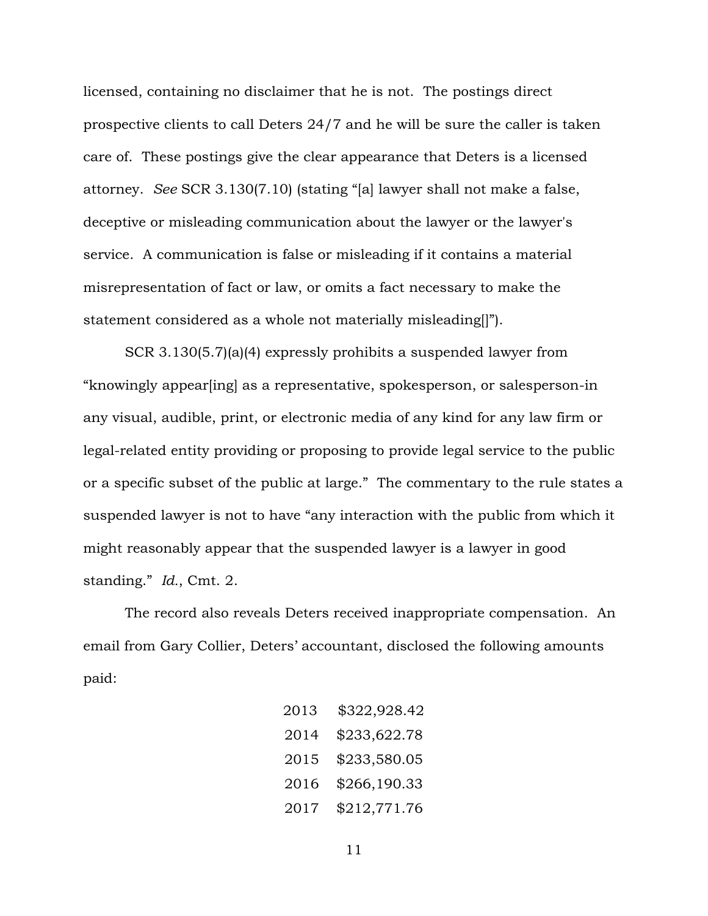licensed, containing no disclaimer that he is not. The postings direct prospective clients to call Deters 24/7 and he will be sure the caller is taken care of. These postings give the clear appearance that Deters is a licensed attorney. *See* SCR 3.130(7.10) (stating "[a] lawyer shall not make a false, deceptive or misleading communication about the lawyer or the lawyer's service. A communication is false or misleading if it contains a material misrepresentation of fact or law, or omits a fact necessary to make the statement considered as a whole not materially misleading[]").

SCR 3.130(5.7)(a)(4) expressly prohibits a suspended lawyer from "knowingly appear[ing] as a representative, spokesperson, or salesperson-in any visual, audible, print, or electronic media of any kind for any law firm or legal-related entity providing or proposing to provide legal service to the public or a specific subset of the public at large." The commentary to the rule states a suspended lawyer is not to have "any interaction with the public from which it might reasonably appear that the suspended lawyer is a lawyer in good standing." *Id.*, Cmt. 2.

The record also reveals Deters received inappropriate compensation. An email from Gary Collier, Deters' accountant, disclosed the following amounts paid:

| 2013 | \$322,928.42 |
|------|--------------|
| 2014 | \$233,622.78 |
| 2015 | \$233,580.05 |
| 2016 | \$266,190.33 |
| 2017 | \$212,771.76 |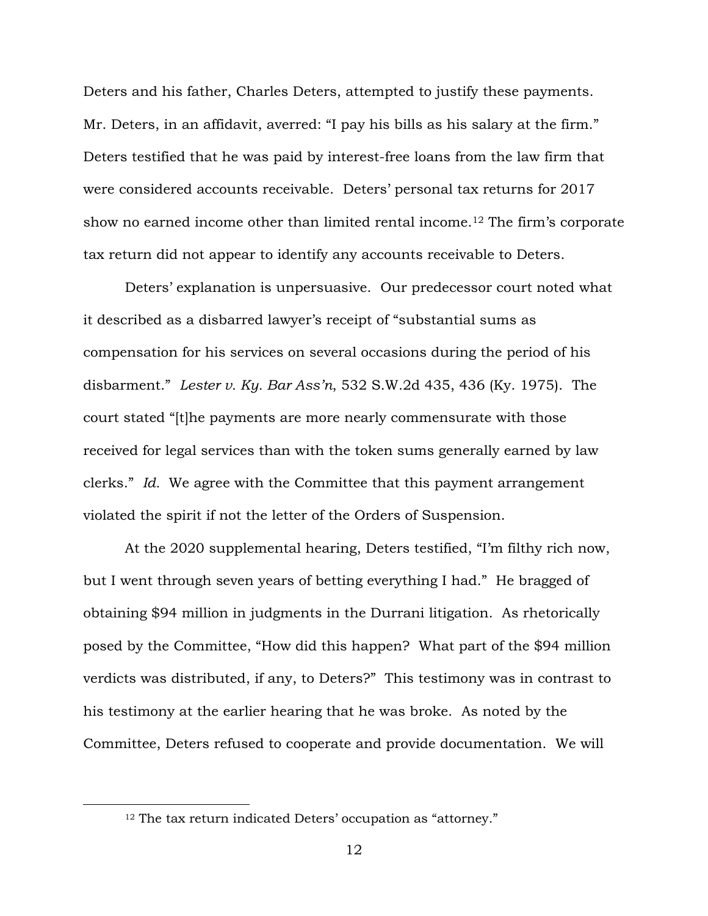Deters and his father, Charles Deters, attempted to justify these payments. Mr. Deters, in an affidavit, averred: "I pay his bills as his salary at the firm." Deters testified that he was paid by interest-free loans from the law firm that were considered accounts receivable. Deters' personal tax returns for 2017 show no earned income other than limited rental income. <sup>12</sup> The firm's corporate tax return did not appear to identify any accounts receivable to Deters.

Deters' explanation is unpersuasive. Our predecessor court noted what it described as a disbarred lawyer's receipt of "substantial sums as compensation for his services on several occasions during the period of his disbarment." *Lester v. Ky. Bar Ass'n*, 532 S.W.2d 435, 436 (Ky. 1975). The court stated "[t]he payments are more nearly commensurate with those received for legal services than with the token sums generally earned by law clerks." *Id.* We agree with the Committee that this payment arrangement violated the spirit if not the letter of the Orders of Suspension.

At the 2020 supplemental hearing, Deters testified, "I'm filthy rich now, but I went through seven years of betting everything I had." He bragged of obtaining \$94 million in judgments in the Durrani litigation. As rhetorically posed by the Committee, "How did this happen? What part of the \$94 million verdicts was distributed, if any, to Deters?" This testimony was in contrast to his testimony at the earlier hearing that he was broke. As noted by the Committee, Deters refused to cooperate and provide documentation. We will

<sup>&</sup>lt;sup>12</sup> The tax return indicated Deters' occupation as "attorney."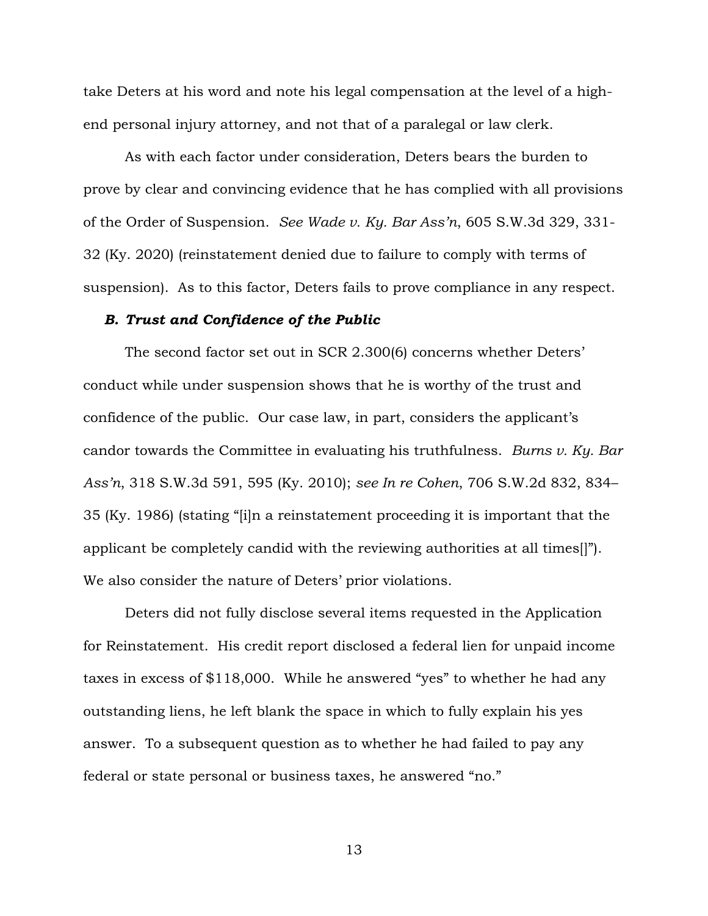take Deters at his word and note his legal compensation at the level of a highend personal injury attorney, and not that of a paralegal or law clerk.

As with each factor under consideration, Deters bears the burden to prove by clear and convincing evidence that he has complied with all provisions of the Order of Suspension. *See Wade v. Ky. Bar Ass'n*, 605 S.W.3d 329, 331- 32 (Ky. 2020) (reinstatement denied due to failure to comply with terms of suspension). As to this factor, Deters fails to prove compliance in any respect.

## *B. Trust and Confidence of the Public*

The second factor set out in SCR 2.300(6) concerns whether Deters' conduct while under suspension shows that he is worthy of the trust and confidence of the public. Our case law, in part, considers the applicant's candor towards the Committee in evaluating his truthfulness. *Burns v. Ky. Bar Ass'n*, 318 S.W.3d 591, 595 (Ky. 2010); *see In re Cohen*, 706 S.W.2d 832, 834– 35 (Ky. 1986) (stating "[i]n a reinstatement proceeding it is important that the applicant be completely candid with the reviewing authorities at all times[]"). We also consider the nature of Deters' prior violations.

Deters did not fully disclose several items requested in the Application for Reinstatement. His credit report disclosed a federal lien for unpaid income taxes in excess of \$118,000. While he answered "yes" to whether he had any outstanding liens, he left blank the space in which to fully explain his yes answer. To a subsequent question as to whether he had failed to pay any federal or state personal or business taxes, he answered "no."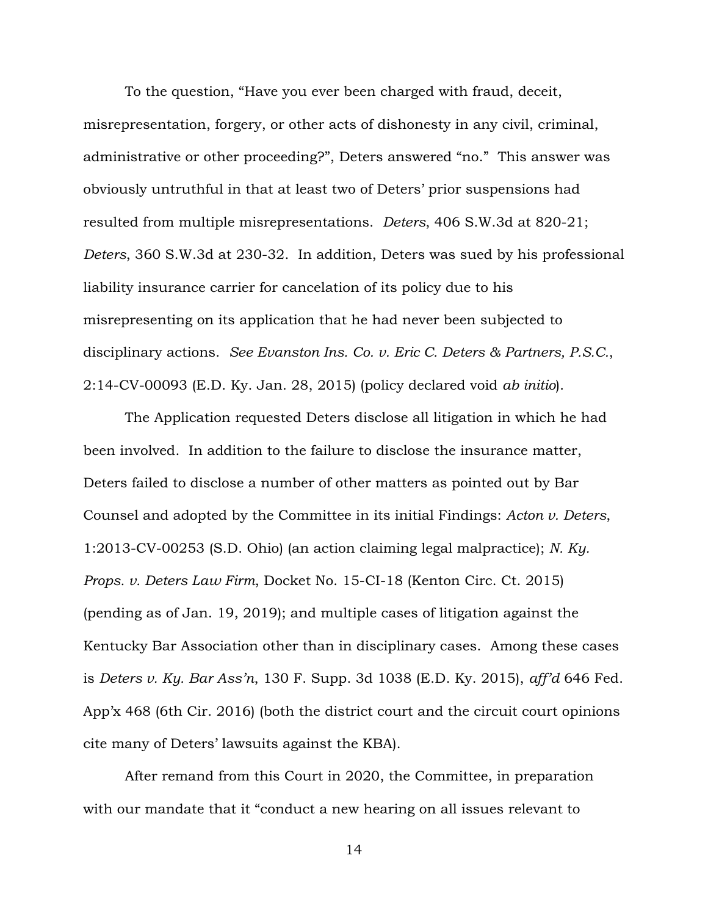To the question, "Have you ever been charged with fraud, deceit, misrepresentation, forgery, or other acts of dishonesty in any civil, criminal, administrative or other proceeding?", Deters answered "no." This answer was obviously untruthful in that at least two of Deters' prior suspensions had resulted from multiple misrepresentations. *Deters*, 406 S.W.3d at 820-21; *Deters*, 360 S.W.3d at 230-32. In addition, Deters was sued by his professional liability insurance carrier for cancelation of its policy due to his misrepresenting on its application that he had never been subjected to disciplinary actions. *See Evanston Ins. Co. v. Eric C. Deters & Partners, P.S.C.*, 2:14-CV-00093 (E.D. Ky. Jan. 28, 2015) (policy declared void *ab initio*).

The Application requested Deters disclose all litigation in which he had been involved. In addition to the failure to disclose the insurance matter, Deters failed to disclose a number of other matters as pointed out by Bar Counsel and adopted by the Committee in its initial Findings: *Acton v. Deters*, 1:2013-CV-00253 (S.D. Ohio) (an action claiming legal malpractice); *N. Ky. Props. v. Deters Law Firm*, Docket No. 15-CI-18 (Kenton Circ. Ct. 2015) (pending as of Jan. 19, 2019); and multiple cases of litigation against the Kentucky Bar Association other than in disciplinary cases. Among these cases is *Deters v. Ky. Bar Ass'n*, 130 F. Supp. 3d 1038 (E.D. Ky. 2015), *aff'd* 646 Fed. App'x 468 (6th Cir. 2016) (both the district court and the circuit court opinions cite many of Deters' lawsuits against the KBA).

After remand from this Court in 2020, the Committee, in preparation with our mandate that it "conduct a new hearing on all issues relevant to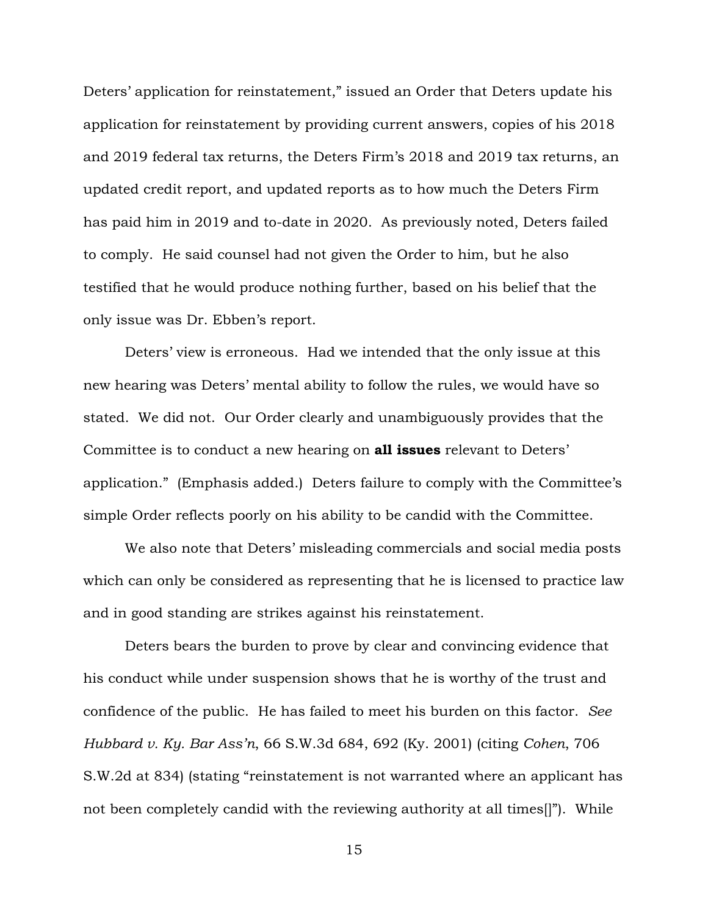Deters' application for reinstatement," issued an Order that Deters update his application for reinstatement by providing current answers, copies of his 2018 and 2019 federal tax returns, the Deters Firm's 2018 and 2019 tax returns, an updated credit report, and updated reports as to how much the Deters Firm has paid him in 2019 and to-date in 2020. As previously noted, Deters failed to comply. He said counsel had not given the Order to him, but he also testified that he would produce nothing further, based on his belief that the only issue was Dr. Ebben's report.

Deters' view is erroneous. Had we intended that the only issue at this new hearing was Deters' mental ability to follow the rules, we would have so stated. We did not. Our Order clearly and unambiguously provides that the Committee is to conduct a new hearing on **all issues** relevant to Deters' application." (Emphasis added.) Deters failure to comply with the Committee's simple Order reflects poorly on his ability to be candid with the Committee.

We also note that Deters' misleading commercials and social media posts which can only be considered as representing that he is licensed to practice law and in good standing are strikes against his reinstatement.

Deters bears the burden to prove by clear and convincing evidence that his conduct while under suspension shows that he is worthy of the trust and confidence of the public. He has failed to meet his burden on this factor. *See Hubbard v. Ky. Bar Ass'n*, 66 S.W.3d 684, 692 (Ky. 2001) (citing *Cohen*, 706 S.W.2d at 834) (stating "reinstatement is not warranted where an applicant has not been completely candid with the reviewing authority at all times[]"). While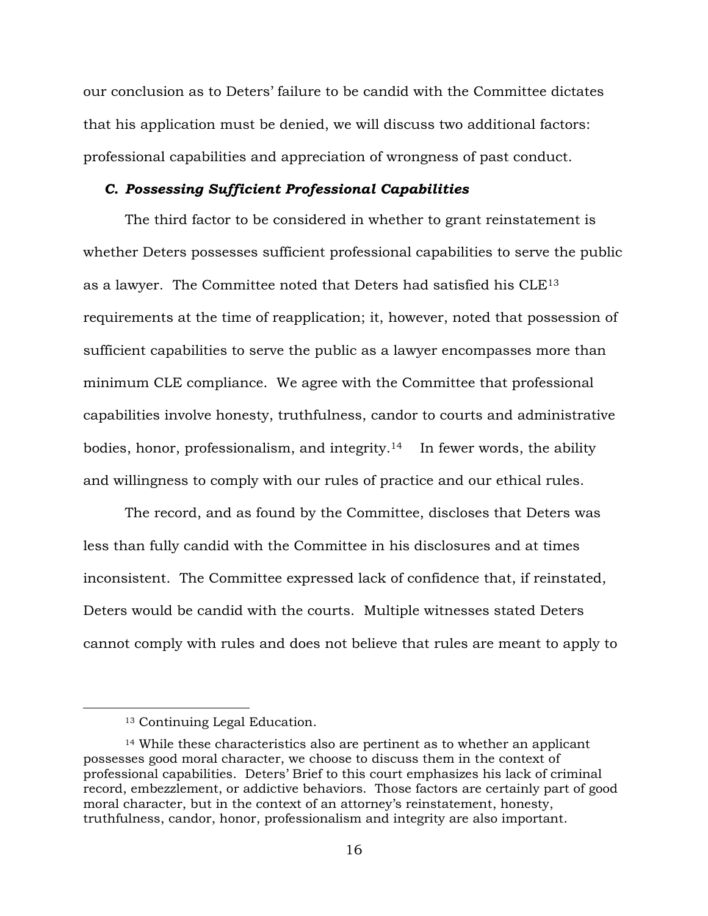our conclusion as to Deters' failure to be candid with the Committee dictates that his application must be denied, we will discuss two additional factors: professional capabilities and appreciation of wrongness of past conduct.

## *C. Possessing Sufficient Professional Capabilities*

The third factor to be considered in whether to grant reinstatement is whether Deters possesses sufficient professional capabilities to serve the public as a lawyer. The Committee noted that Deters had satisfied his CLE<sup>13</sup> requirements at the time of reapplication; it, however, noted that possession of sufficient capabilities to serve the public as a lawyer encompasses more than minimum CLE compliance. We agree with the Committee that professional capabilities involve honesty, truthfulness, candor to courts and administrative bodies, honor, professionalism, and integrity.14 In fewer words, the ability and willingness to comply with our rules of practice and our ethical rules.

The record, and as found by the Committee, discloses that Deters was less than fully candid with the Committee in his disclosures and at times inconsistent. The Committee expressed lack of confidence that, if reinstated, Deters would be candid with the courts. Multiple witnesses stated Deters cannot comply with rules and does not believe that rules are meant to apply to

<sup>13</sup> Continuing Legal Education.

<sup>14</sup> While these characteristics also are pertinent as to whether an applicant possesses good moral character, we choose to discuss them in the context of professional capabilities. Deters' Brief to this court emphasizes his lack of criminal record, embezzlement, or addictive behaviors. Those factors are certainly part of good moral character, but in the context of an attorney's reinstatement, honesty, truthfulness, candor, honor, professionalism and integrity are also important.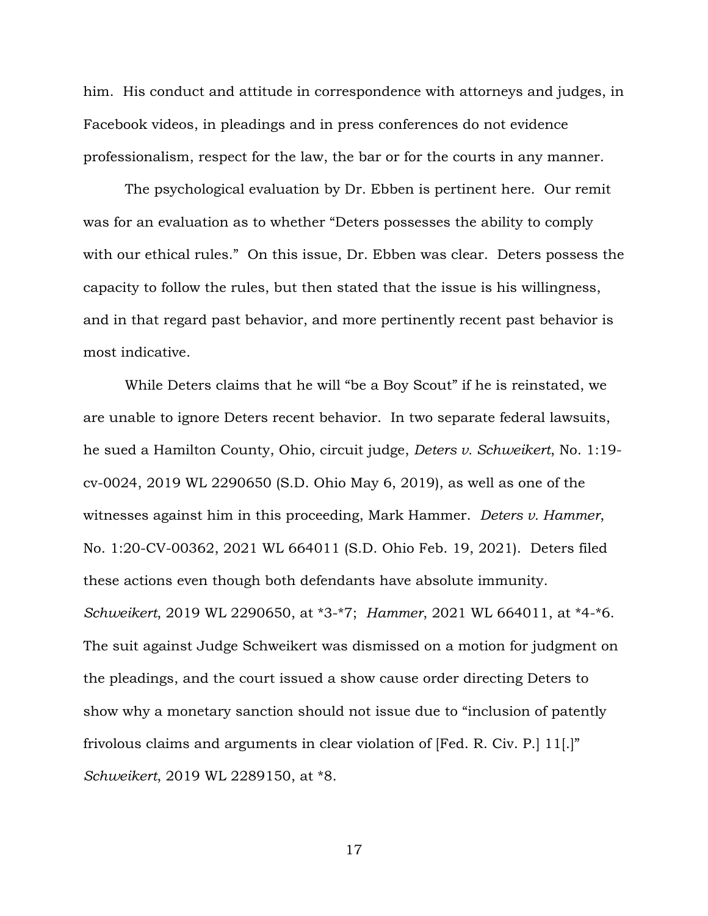him. His conduct and attitude in correspondence with attorneys and judges, in Facebook videos, in pleadings and in press conferences do not evidence professionalism, respect for the law, the bar or for the courts in any manner.

The psychological evaluation by Dr. Ebben is pertinent here. Our remit was for an evaluation as to whether "Deters possesses the ability to comply with our ethical rules." On this issue, Dr. Ebben was clear. Deters possess the capacity to follow the rules, but then stated that the issue is his willingness, and in that regard past behavior, and more pertinently recent past behavior is most indicative.

While Deters claims that he will "be a Boy Scout" if he is reinstated, we are unable to ignore Deters recent behavior. In two separate federal lawsuits, he sued a Hamilton County, Ohio, circuit judge, *Deters v. Schweikert*, No. 1:19 cv-0024, 2019 WL 2290650 (S.D. Ohio May 6, 2019), as well as one of the witnesses against him in this proceeding, Mark Hammer. *Deters v. Hammer*, No. 1:20-CV-00362, 2021 WL 664011 (S.D. Ohio Feb. 19, 2021). Deters filed these actions even though both defendants have absolute immunity. *Schweikert*, 2019 WL 2290650, at \*3-\*7; *Hammer*, 2021 WL 664011, at \*4-\*6. The suit against Judge Schweikert was dismissed on a motion for judgment on the pleadings, and the court issued a show cause order directing Deters to show why a monetary sanction should not issue due to "inclusion of patently frivolous claims and arguments in clear violation of [Fed. R. Civ. P.] 11[.]" *Schweikert*, 2019 WL 2289150, at \*8.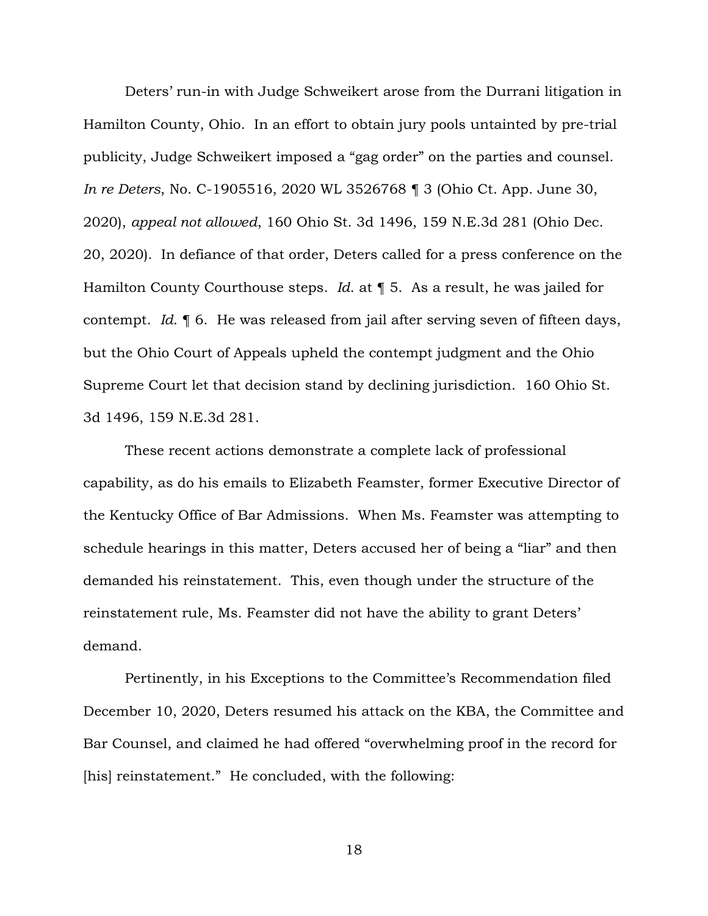Deters' run-in with Judge Schweikert arose from the Durrani litigation in Hamilton County, Ohio. In an effort to obtain jury pools untainted by pre-trial publicity, Judge Schweikert imposed a "gag order" on the parties and counsel. *In re Deters*, No. C-1905516, 2020 WL 3526768 ¶ 3 (Ohio Ct. App. June 30, 2020), *appeal not allowed*, 160 Ohio St. 3d 1496, 159 N.E.3d 281 (Ohio Dec. 20, 2020). In defiance of that order, Deters called for a press conference on the Hamilton County Courthouse steps. *Id*. at ¶ 5. As a result, he was jailed for contempt. *Id*. ¶ 6. He was released from jail after serving seven of fifteen days, but the Ohio Court of Appeals upheld the contempt judgment and the Ohio Supreme Court let that decision stand by declining jurisdiction. 160 Ohio St. 3d 1496, 159 N.E.3d 281.

These recent actions demonstrate a complete lack of professional capability, as do his emails to Elizabeth Feamster, former Executive Director of the Kentucky Office of Bar Admissions. When Ms. Feamster was attempting to schedule hearings in this matter, Deters accused her of being a "liar" and then demanded his reinstatement. This, even though under the structure of the reinstatement rule, Ms. Feamster did not have the ability to grant Deters' demand.

Pertinently, in his Exceptions to the Committee's Recommendation filed December 10, 2020, Deters resumed his attack on the KBA, the Committee and Bar Counsel, and claimed he had offered "overwhelming proof in the record for [his] reinstatement." He concluded, with the following: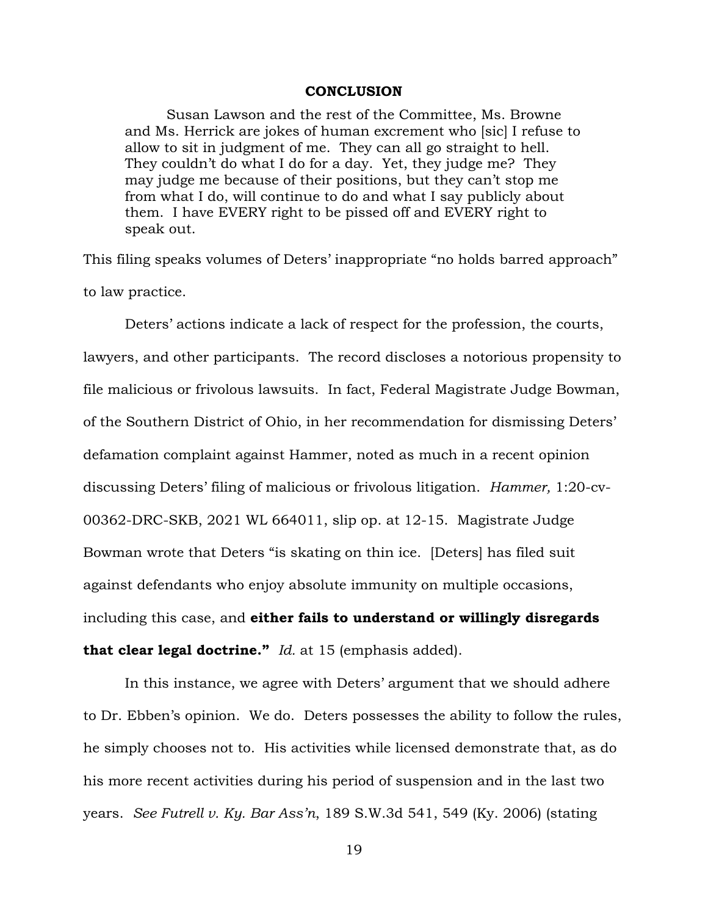## **CONCLUSION**

Susan Lawson and the rest of the Committee, Ms. Browne and Ms. Herrick are jokes of human excrement who [sic] I refuse to allow to sit in judgment of me. They can all go straight to hell. They couldn't do what I do for a day. Yet, they judge me? They may judge me because of their positions, but they can't stop me from what I do, will continue to do and what I say publicly about them. I have EVERY right to be pissed off and EVERY right to speak out.

This filing speaks volumes of Deters' inappropriate "no holds barred approach" to law practice.

Deters' actions indicate a lack of respect for the profession, the courts, lawyers, and other participants. The record discloses a notorious propensity to file malicious or frivolous lawsuits. In fact, Federal Magistrate Judge Bowman, of the Southern District of Ohio, in her recommendation for dismissing Deters' defamation complaint against Hammer, noted as much in a recent opinion discussing Deters' filing of malicious or frivolous litigation. *Hammer,* 1:20-cv-00362-DRC-SKB, 2021 WL 664011, slip op. at 12-15. Magistrate Judge Bowman wrote that Deters "is skating on thin ice. [Deters] has filed suit against defendants who enjoy absolute immunity on multiple occasions, including this case, and **either fails to understand or willingly disregards that clear legal doctrine."** *Id.* at 15 (emphasis added).

In this instance, we agree with Deters' argument that we should adhere to Dr. Ebben's opinion. We do. Deters possesses the ability to follow the rules, he simply chooses not to. His activities while licensed demonstrate that, as do his more recent activities during his period of suspension and in the last two years. *See Futrell v. Ky. Bar Ass'n*, 189 S.W.3d 541, 549 (Ky. 2006) (stating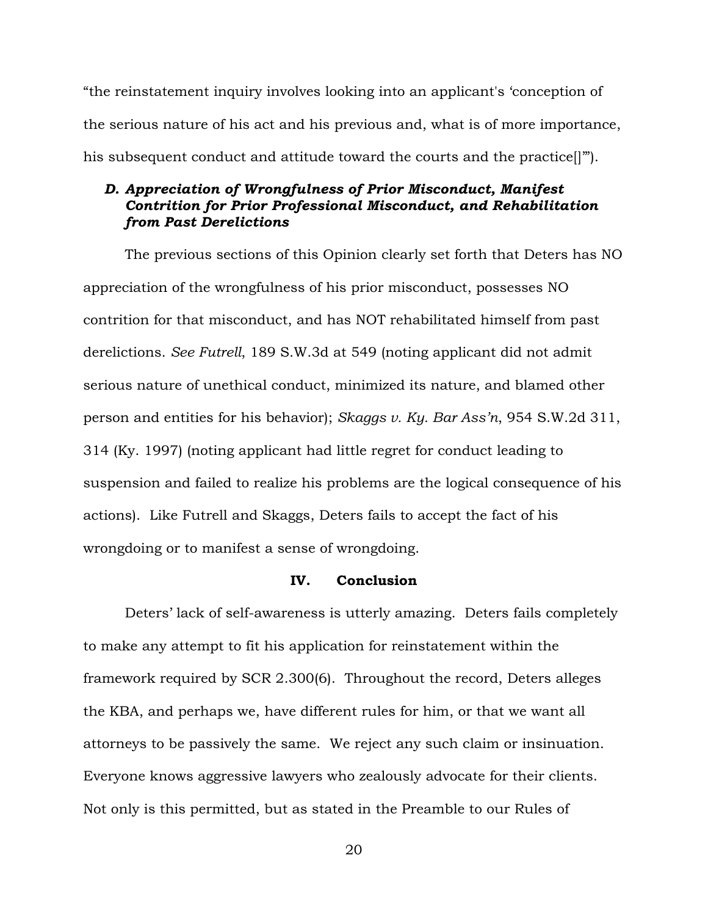"the reinstatement inquiry involves looking into an applicant's 'conception of the serious nature of his act and his previous and, what is of more importance, his subsequent conduct and attitude toward the courts and the practice[]'").

# *D. Appreciation of Wrongfulness of Prior Misconduct, Manifest Contrition for Prior Professional Misconduct, and Rehabilitation from Past Derelictions*

The previous sections of this Opinion clearly set forth that Deters has NO appreciation of the wrongfulness of his prior misconduct, possesses NO contrition for that misconduct, and has NOT rehabilitated himself from past derelictions. *See Futrell*, 189 S.W.3d at 549 (noting applicant did not admit serious nature of unethical conduct, minimized its nature, and blamed other person and entities for his behavior); *Skaggs v. Ky. Bar Ass'n*, 954 S.W.2d 311, 314 (Ky. 1997) (noting applicant had little regret for conduct leading to suspension and failed to realize his problems are the logical consequence of his actions). Like Futrell and Skaggs, Deters fails to accept the fact of his wrongdoing or to manifest a sense of wrongdoing.

# **IV. Conclusion**

Deters' lack of self-awareness is utterly amazing. Deters fails completely to make any attempt to fit his application for reinstatement within the framework required by SCR 2.300(6). Throughout the record, Deters alleges the KBA, and perhaps we, have different rules for him, or that we want all attorneys to be passively the same. We reject any such claim or insinuation. Everyone knows aggressive lawyers who zealously advocate for their clients. Not only is this permitted, but as stated in the Preamble to our Rules of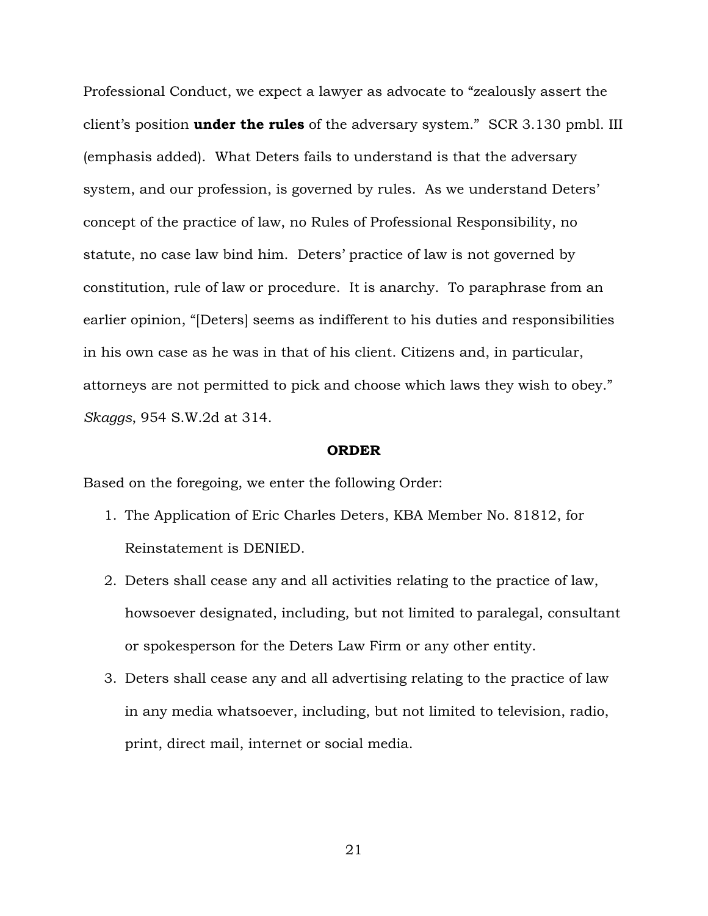Professional Conduct, we expect a lawyer as advocate to "zealously assert the client's position **under the rules** of the adversary system." SCR 3.130 pmbl. III (emphasis added). What Deters fails to understand is that the adversary system, and our profession, is governed by rules. As we understand Deters' concept of the practice of law, no Rules of Professional Responsibility, no statute, no case law bind him. Deters' practice of law is not governed by constitution, rule of law or procedure. It is anarchy. To paraphrase from an earlier opinion, "[Deters] seems as indifferent to his duties and responsibilities in his own case as he was in that of his client. Citizens and, in particular, attorneys are not permitted to pick and choose which laws they wish to obey." *Skaggs*, 954 S.W.2d at 314.

#### **ORDER**

Based on the foregoing, we enter the following Order:

- 1. The Application of Eric Charles Deters, KBA Member No. 81812, for Reinstatement is DENIED.
- 2. Deters shall cease any and all activities relating to the practice of law, howsoever designated, including, but not limited to paralegal, consultant or spokesperson for the Deters Law Firm or any other entity.
- 3. Deters shall cease any and all advertising relating to the practice of law in any media whatsoever, including, but not limited to television, radio, print, direct mail, internet or social media.